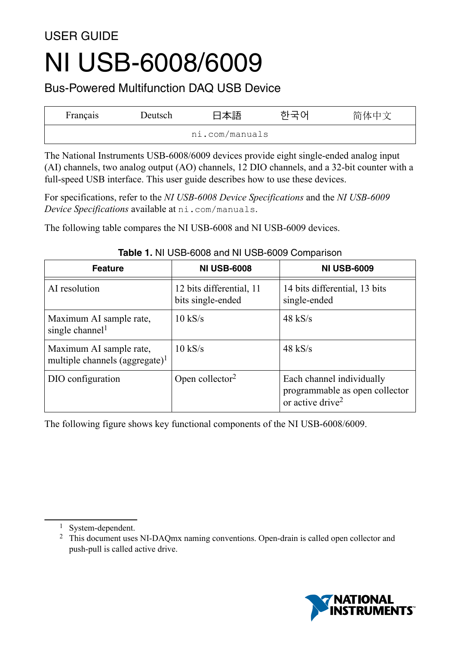# USER GUIDE NI USB-6008/6009

Bus-Powered Multifunction DAQ USB Device

| Français | Deutsch | 本語             | 简体中文 |
|----------|---------|----------------|------|
|          |         | ni.com/manuals |      |

The National Instruments USB-6008/6009 devices provide eight single-ended analog input (AI) channels, two analog output (AO) channels, 12 DIO channels, and a 32-bit counter with a full-speed USB interface. This user guide describes how to use these devices.

For specifications, refer to the *NI USB-6008 Device Specifications* and the *NI USB-6009 Device Specifications* available at ni.com/manuals.

The following table compares the NI USB-6008 and NI USB-6009 devices.

| <b>Feature</b>                                                        | <b>NI USB-6008</b>                            | <b>NI USB-6009</b>                                                                          |
|-----------------------------------------------------------------------|-----------------------------------------------|---------------------------------------------------------------------------------------------|
| AI resolution                                                         | 12 bits differential, 11<br>bits single-ended | 14 bits differential, 13 bits<br>single-ended                                               |
| Maximum AI sample rate,<br>single channel <sup>1</sup>                | $10$ kS/s                                     | $48$ kS/s                                                                                   |
| Maximum AI sample rate,<br>multiple channels (aggregate) <sup>1</sup> | $10$ kS/s                                     | $48$ kS/s                                                                                   |
| DIO configuration                                                     | Open collector <sup>2</sup>                   | Each channel individually<br>programmable as open collector<br>or active drive <sup>2</sup> |

#### **Table 1.** NI USB-6008 and NI USB-6009 Comparison

The following figure shows key functional components of the NI USB-6008/6009.



<sup>1</sup> System-dependent.

<sup>2</sup> This document uses NI-DAQmx naming conventions. Open-drain is called open collector and push-pull is called active drive.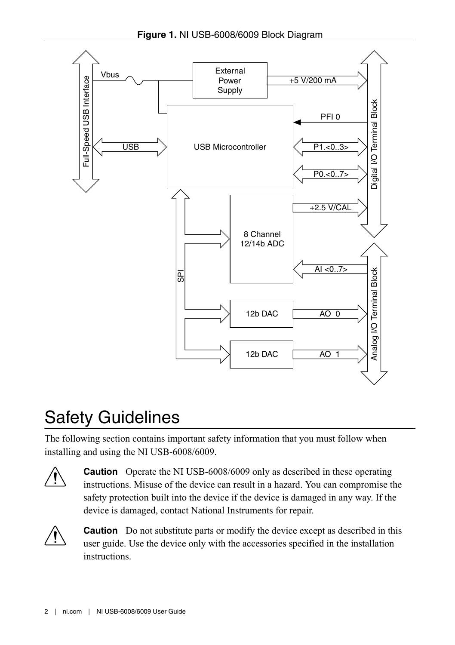**Figure 1.** NI USB-6008/6009 Block Diagram



# Safety Guidelines

The following section contains important safety information that you must follow when installing and using the NI USB-6008/6009.



**Caution** Operate the NI USB-6008/6009 only as described in these operating instructions. Misuse of the device can result in a hazard. You can compromise the safety protection built into the device if the device is damaged in any way. If the device is damaged, contact National Instruments for repair.



**Caution** Do not substitute parts or modify the device except as described in this user guide. Use the device only with the accessories specified in the installation instructions.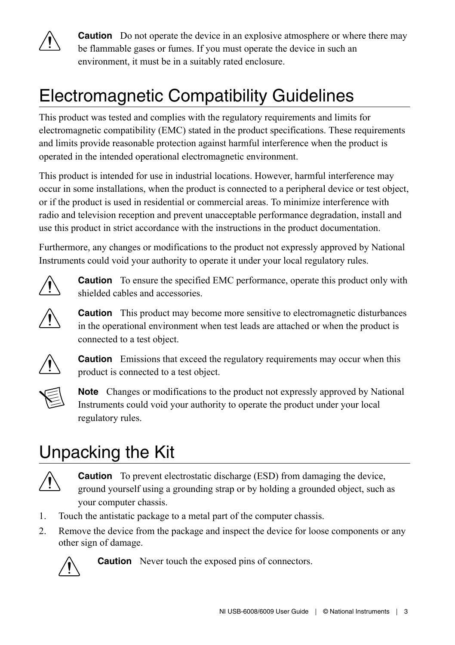

**Caution** Do not operate the device in an explosive atmosphere or where there may be flammable gases or fumes. If you must operate the device in such an environment, it must be in a suitably rated enclosure.

# Electromagnetic Compatibility Guidelines

This product was tested and complies with the regulatory requirements and limits for electromagnetic compatibility (EMC) stated in the product specifications. These requirements and limits provide reasonable protection against harmful interference when the product is operated in the intended operational electromagnetic environment.

This product is intended for use in industrial locations. However, harmful interference may occur in some installations, when the product is connected to a peripheral device or test object, or if the product is used in residential or commercial areas. To minimize interference with radio and television reception and prevent unacceptable performance degradation, install and use this product in strict accordance with the instructions in the product documentation.

Furthermore, any changes or modifications to the product not expressly approved by National Instruments could void your authority to operate it under your local regulatory rules.



**Caution** To ensure the specified EMC performance, operate this product only with shielded cables and accessories.



**Caution** This product may become more sensitive to electromagnetic disturbances in the operational environment when test leads are attached or when the product is connected to a test object.



**Caution** Emissions that exceed the regulatory requirements may occur when this product is connected to a test object.



**Note** Changes or modifications to the product not expressly approved by National Instruments could void your authority to operate the product under your local regulatory rules.

# Unpacking the Kit



**Caution** To prevent electrostatic discharge (ESD) from damaging the device, ground yourself using a grounding strap or by holding a grounded object, such as your computer chassis.

- 1. Touch the antistatic package to a metal part of the computer chassis.
- 2. Remove the device from the package and inspect the device for loose components or any other sign of damage.



**Caution** Never touch the exposed pins of connectors.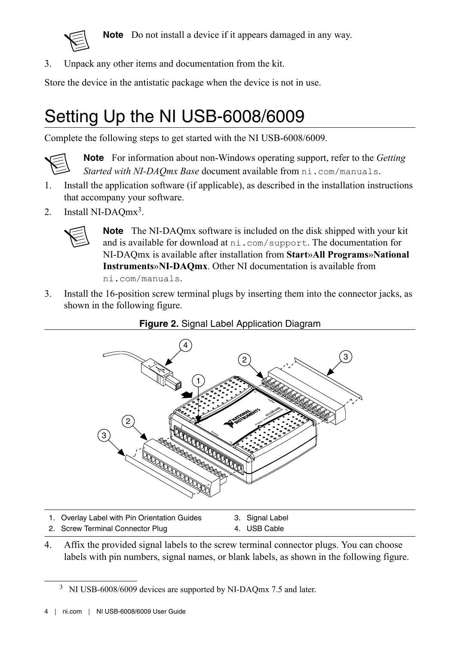<span id="page-3-0"></span>

**Note** Do not install a device if it appears damaged in any way.

3. Unpack any other items and documentation from the kit.

Store the device in the antistatic package when the device is not in use.

# Setting Up the NI USB-6008/6009

Complete the following steps to get started with the NI USB-6008/6009.



**Note** For information about non-Windows operating support, refer to the *Getting Started with NI-DAQmx Base* document available from ni.com/manuals.

- 1. Install the application software (if applicable), as described in the installation instructions that accompany your software.
- 2. Install NI-DAQmx<sup>3</sup>.



**Note** The NI-DAQmx software is included on the disk shipped with your kit and is available for download at ni.com/support. The documentation for NI-DAQmx is available after installation from **Start**»**All Programs**»**National Instruments**»**NI-DAQmx**. Other NI documentation is available from ni.com/manuals.

3. Install the 16-position screw terminal plugs by inserting them into the connector jacks, as shown in the following figure.





- 1. Overlay Label with Pin Orientation Guides 3. Signal Label 4. USB Cable
- 2. Screw Terminal Connector Plug
- 4. Affix the provided signal labels to the screw terminal connector plugs. You can choose labels with pin numbers, signal names, or blank labels, as shown in the following figure.

<sup>&</sup>lt;sup>3</sup> NI USB-6008/6009 devices are supported by NI-DAQmx 7.5 and later.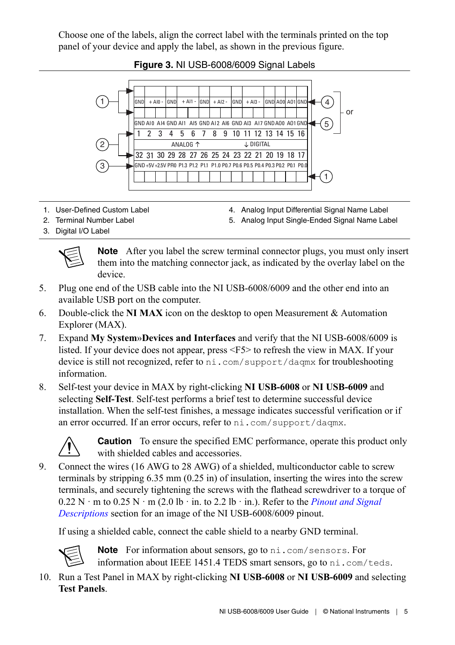Choose one of the labels, align the correct label with the terminals printed on the top panel of your device and apply the label, as shown in the previous figure.



**Figure 3.** NI USB-6008/6009 Signal Labels

- 1. User-Defined Custom Label
- 2. Terminal Number Label
- 4. Analog Input Differential Signal Name Label
- 5. Analog Input Single-Ended Signal Name Label

3. Digital I/O Label



**Note** After you label the screw terminal connector plugs, you must only insert them into the matching connector jack, as indicated by the overlay label on the device.

- 5. Plug one end of the USB cable into the NI USB-6008/6009 and the other end into an available USB port on the computer.
- 6. Double-click the **NI MAX** icon on the desktop to open Measurement & Automation Explorer (MAX).
- 7. Expand **My System**»**Devices and Interfaces** and verify that the NI USB-6008/6009 is listed. If your device does not appear, press <F5> to refresh the view in MAX. If your device is still not recognized, refer to ni.com/support/daqmx for troubleshooting information.
- 8. Self-test your device in MAX by right-clicking **NI USB-6008** or **NI USB-6009** and selecting **Self-Test**. Self-test performs a brief test to determine successful device installation. When the self-test finishes, a message indicates successful verification or if an error occurred. If an error occurs, refer to ni.com/support/daqmx.



**Caution** To ensure the specified EMC performance, operate this product only with shielded cables and accessories.

9. Connect the wires (16 AWG to 28 AWG) of a shielded, multiconductor cable to screw terminals by stripping 6.35 mm (0.25 in) of insulation, inserting the wires into the screw terminals, and securely tightening the screws with the flathead screwdriver to a torque of 0.22 N · m to 0.25 N · m (2.0 lb · in. to 2.2 lb · in.). Refer to the *[Pinout and Signal](#page-8-0) [Descriptions](#page-8-0)* section for an image of the NI USB-6008/6009 pinout.

If using a shielded cable, connect the cable shield to a nearby GND terminal.



**Note** For information about sensors, go to ni.com/sensors. For information about IEEE 1451.4 TEDS smart sensors, go to ni.com/teds.

10. Run a Test Panel in MAX by right-clicking **NI USB-6008** or **NI USB-6009** and selecting **Test Panels**.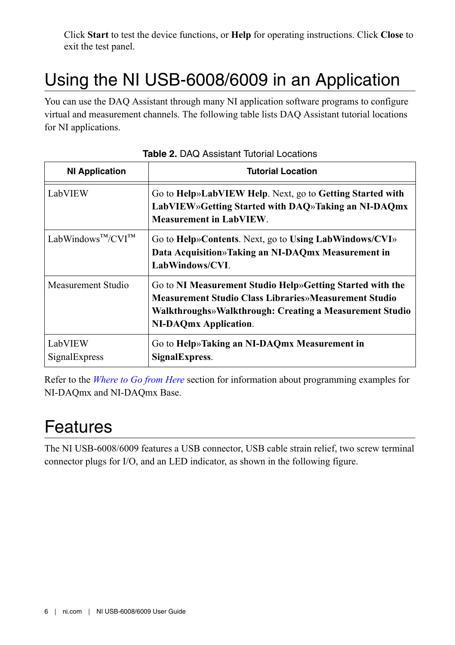Click **Start** to test the device functions, or **Help** for operating instructions. Click **Close** to exit the test panel.

# Using the NI USB-6008/6009 in an Application

You can use the DAQ Assistant through many NI application software programs to configure virtual and measurement channels. The following table lists DAQ Assistant tutorial locations for NI applications.

| <b>NI Application</b>    | <b>Tutorial Location</b>                                                                                                                                                                                               |
|--------------------------|------------------------------------------------------------------------------------------------------------------------------------------------------------------------------------------------------------------------|
| LabVIEW                  | Go to Help»LabVIEW Help. Next, go to Getting Started with<br>LabVIEW»Getting Started with DAQ»Taking an NI-DAQmx<br><b>Measurement in LabVIEW.</b>                                                                     |
| LabWindows™/CVI™         | Go to Help»Contents. Next, go to Using LabWindows/CVI»<br>Data Acquisition» Taking an NI-DAQmx Measurement in<br>LabWindows/CVI.                                                                                       |
| Measurement Studio       | Go to NI Measurement Studio Help» Getting Started with the<br><b>Measurement Studio Class Libraries»Measurement Studio</b><br>Walkthroughs» Walkthrough: Creating a Measurement Studio<br><b>NI-DAQmx Application.</b> |
| LabVIEW<br>SignalExpress | Go to Help»Taking an NI-DAQmx Measurement in<br>SignalExpress.                                                                                                                                                         |

**Table 2.** DAQ Assistant Tutorial Locations

Refer to the *[Where to Go from Here](#page-21-0)* section for information about programming examples for NI-DAQmx and NI-DAQmx Base.

## Features

The NI USB-6008/6009 features a USB connector, USB cable strain relief, two screw terminal connector plugs for I/O, and an LED indicator, as shown in the following figure.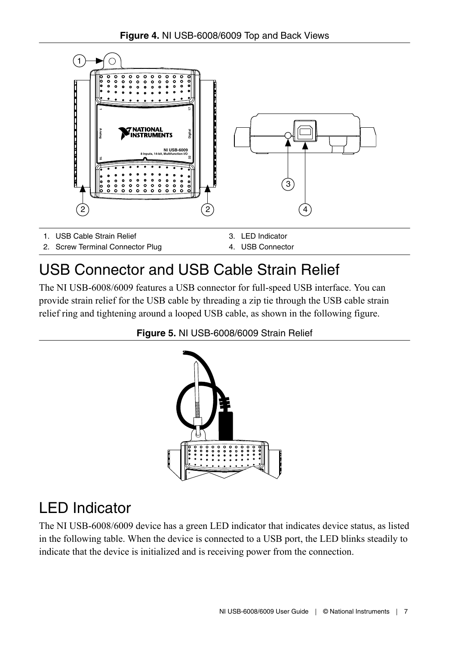



### USB Connector and USB Cable Strain Relief

The NI USB-6008/6009 features a USB connector for full-speed USB interface. You can provide strain relief for the USB cable by threading a zip tie through the USB cable strain relief ring and tightening around a looped USB cable, as shown in the following figure.





### LED Indicator

The NI USB-6008/6009 device has a green LED indicator that indicates device status, as listed in the following table. When the device is connected to a USB port, the LED blinks steadily to indicate that the device is initialized and is receiving power from the connection.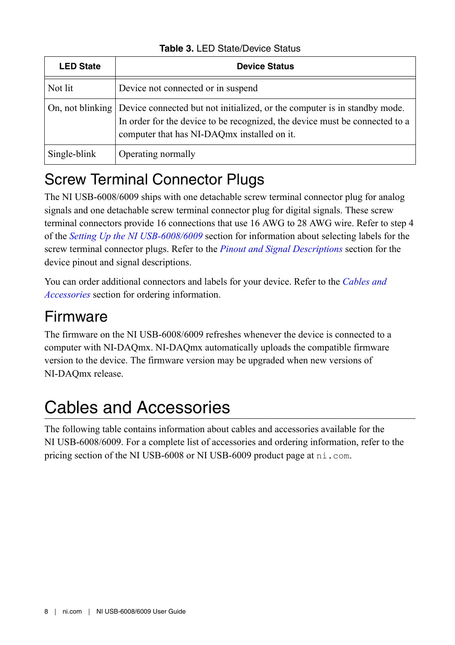| <b>LED State</b> | <b>Device Status</b>                                                                                                                                                                                                       |
|------------------|----------------------------------------------------------------------------------------------------------------------------------------------------------------------------------------------------------------------------|
| Not lit          | Device not connected or in suspend                                                                                                                                                                                         |
|                  | On, not blinking   Device connected but not initialized, or the computer is in standby mode.<br>In order for the device to be recognized, the device must be connected to a<br>computer that has NI-DAQmx installed on it. |
| Single-blink     | Operating normally                                                                                                                                                                                                         |

**Table 3.** LED State/Device Status

## Screw Terminal Connector Plugs

The NI USB-6008/6009 ships with one detachable screw terminal connector plug for analog signals and one detachable screw terminal connector plug for digital signals. These screw terminal connectors provide 16 connections that use 16 AWG to 28 AWG wire. Refer to step 4 of the *[Setting Up the NI USB-6008/6009](#page-3-0)* section for information about selecting labels for the screw terminal connector plugs. Refer to the *[Pinout and Signal Descriptions](#page-8-0)* section for the device pinout and signal descriptions.

You can order additional connectors and labels for your device. Refer to the *Cables and Accessories* section for ordering information.

## Firmware

The firmware on the NI USB-6008/6009 refreshes whenever the device is connected to a computer with NI-DAQmx. NI-DAQmx automatically uploads the compatible firmware version to the device. The firmware version may be upgraded when new versions of NI-DAQmx release.

# Cables and Accessories

The following table contains information about cables and accessories available for the NI USB-6008/6009. For a complete list of accessories and ordering information, refer to the pricing section of the NI USB-6008 or NI USB-6009 product page at ni.com.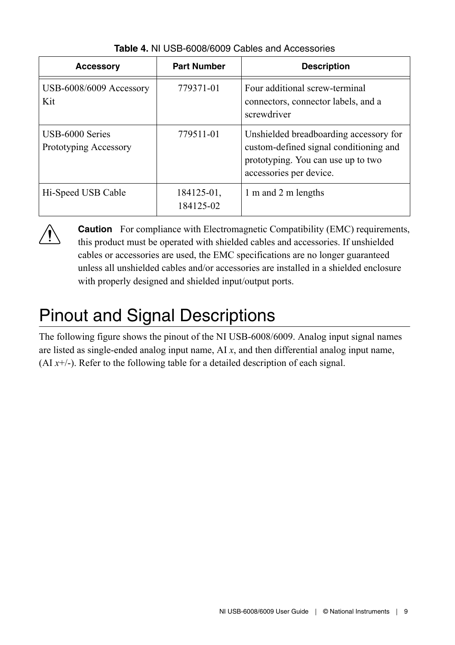<span id="page-8-0"></span>

| <b>Accessory</b>                         | <b>Part Number</b>      | <b>Description</b>                                                                                                                                |
|------------------------------------------|-------------------------|---------------------------------------------------------------------------------------------------------------------------------------------------|
| USB-6008/6009 Accessory<br>Kit           | 779371-01               | Four additional screw-terminal<br>connectors, connector labels, and a<br>screwdriver                                                              |
| USB-6000 Series<br>Prototyping Accessory | 779511-01               | Unshielded breadboarding accessory for<br>custom-defined signal conditioning and<br>prototyping. You can use up to two<br>accessories per device. |
| Hi-Speed USB Cable                       | 184125-01,<br>184125-02 | 1 m and 2 m lengths                                                                                                                               |

**Table 4.** NI USB-6008/6009 Cables and Accessories



**Caution** For compliance with Electromagnetic Compatibility (EMC) requirements, this product must be operated with shielded cables and accessories. If unshielded cables or accessories are used, the EMC specifications are no longer guaranteed unless all unshielded cables and/or accessories are installed in a shielded enclosure with properly designed and shielded input/output ports.

# Pinout and Signal Descriptions

The following figure shows the pinout of the NI USB-6008/6009. Analog input signal names are listed as single-ended analog input name, AI *x*, and then differential analog input name,  $(AI x<sup>+/</sup>)$ . Refer to the following table for a detailed description of each signal.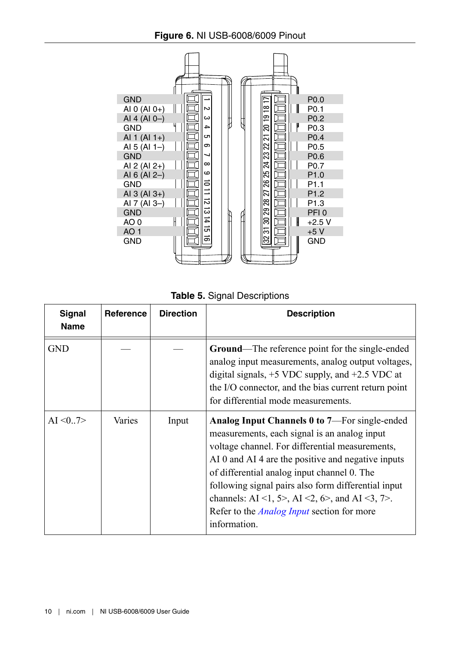

**Table 5.** Signal Descriptions

| Signal<br><b>Name</b> | Reference | <b>Direction</b> | <b>Description</b>                                                                                                                                                                                                                                                                                                                                                                                                                  |
|-----------------------|-----------|------------------|-------------------------------------------------------------------------------------------------------------------------------------------------------------------------------------------------------------------------------------------------------------------------------------------------------------------------------------------------------------------------------------------------------------------------------------|
| <b>GND</b>            |           |                  | <b>Ground—The reference point for the single-ended</b><br>analog input measurements, analog output voltages,<br>digital signals, $+5$ VDC supply, and $+2.5$ VDC at<br>the I/O connector, and the bias current return point<br>for differential mode measurements.                                                                                                                                                                  |
| AI < 0.7              | Varies    | Input            | Analog Input Channels 0 to 7—For single-ended<br>measurements, each signal is an analog input<br>voltage channel. For differential measurements,<br>AI 0 and AI 4 are the positive and negative inputs<br>of differential analog input channel 0. The<br>following signal pairs also form differential input<br>channels: AI <1, 5>, AI <2, 6>, and AI <3, 7>.<br>Refer to the <i>Analog Input</i> section for more<br>information. |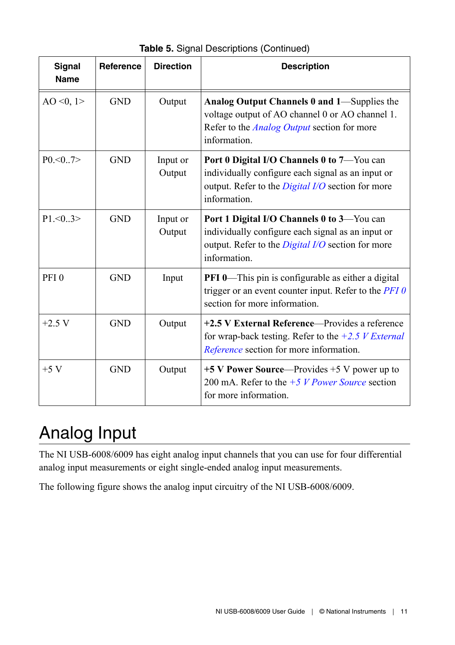<span id="page-10-0"></span>

| Signal<br>Name   | Reference  | <b>Direction</b>   | <b>Description</b>                                                                                                                                                          |
|------------------|------------|--------------------|-----------------------------------------------------------------------------------------------------------------------------------------------------------------------------|
| AO < 0, 1 >      | <b>GND</b> | Output             | Analog Output Channels 0 and 1—Supplies the<br>voltage output of AO channel 0 or AO channel 1.<br>Refer to the <i>Analog Output</i> section for more<br>information.        |
| P0.007           | <b>GND</b> | Input or<br>Output | Port 0 Digital I/O Channels 0 to 7-You can<br>individually configure each signal as an input or<br>output. Refer to the <i>Digital I/O</i> section for more<br>information. |
| $P1 \le 0.3$     | <b>GND</b> | Input or<br>Output | Port 1 Digital I/O Channels 0 to 3—You can<br>individually configure each signal as an input or<br>output. Refer to the <i>Digital I/O</i> section for more<br>information. |
| PFI <sub>0</sub> | <b>GND</b> | Input              | <b>PFI 0—This pin is configurable as either a digital</b><br>trigger or an event counter input. Refer to the $PFI$ $0$<br>section for more information.                     |
| $+2.5 V$         | <b>GND</b> | Output             | +2.5 V External Reference—Provides a reference<br>for wrap-back testing. Refer to the $+2.5$ <i>V External</i><br>Reference section for more information.                   |
| $+5$ V           | <b>GND</b> | Output             | $+5$ V Power Source—Provides $+5$ V power up to<br>200 mA. Refer to the $+5 V$ <i>Power Source</i> section<br>for more information.                                         |

**Table 5.** Signal Descriptions (Continued)

# Analog Input

The NI USB-6008/6009 has eight analog input channels that you can use for four differential analog input measurements or eight single-ended analog input measurements.

The following figure shows the analog input circuitry of the NI USB-6008/6009.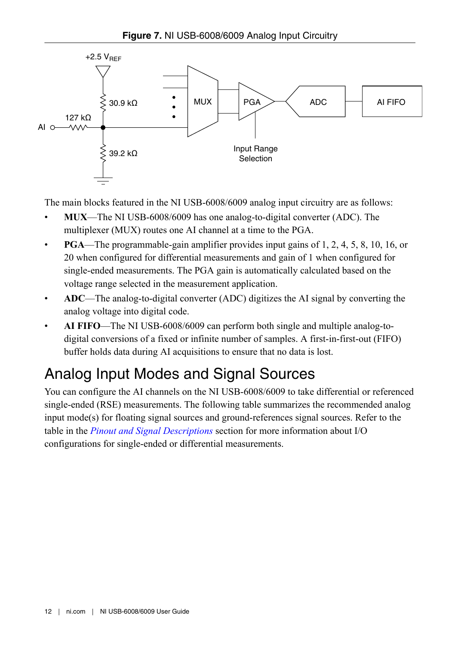<span id="page-11-0"></span>

The main blocks featured in the NI USB-6008/6009 analog input circuitry are as follows:

- **MUX**—The NI USB-6008/6009 has one analog-to-digital converter (ADC). The multiplexer (MUX) routes one AI channel at a time to the PGA.
- **PGA**—The programmable-gain amplifier provides input gains of 1, 2, 4, 5, 8, 10, 16, or 20 when configured for differential measurements and gain of 1 when configured for single-ended measurements. The PGA gain is automatically calculated based on the voltage range selected in the measurement application.
- **ADC**—The analog-to-digital converter (ADC) digitizes the AI signal by converting the analog voltage into digital code.
- **AI FIFO**—The NI USB-6008/6009 can perform both single and multiple analog-todigital conversions of a fixed or infinite number of samples. A first-in-first-out (FIFO) buffer holds data during AI acquisitions to ensure that no data is lost.

## Analog Input Modes and Signal Sources

You can configure the AI channels on the NI USB-6008/6009 to take differential or referenced single-ended (RSE) measurements. The following table summarizes the recommended analog input mode(s) for floating signal sources and ground-references signal sources. Refer to the table in the *[Pinout and Signal Descriptions](#page-8-0)* section for more information about I/O configurations for single-ended or differential measurements.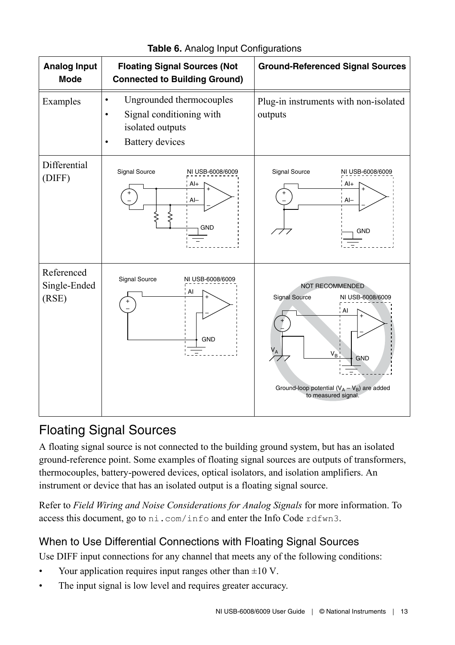

#### **Table 6.** Analog Input Configurations

#### Floating Signal Sources

A floating signal source is not connected to the building ground system, but has an isolated ground-reference point. Some examples of floating signal sources are outputs of transformers, thermocouples, battery-powered devices, optical isolators, and isolation amplifiers. An instrument or device that has an isolated output is a floating signal source.

Refer to *Field Wiring and Noise Considerations for Analog Signals* for more information. To access this document, go to ni.com/info and enter the Info Code rdfwn3.

#### When to Use Differential Connections with Floating Signal Sources

Use DIFF input connections for any channel that meets any of the following conditions:

- Your application requires input ranges other than  $\pm 10$  V.
- The input signal is low level and requires greater accuracy.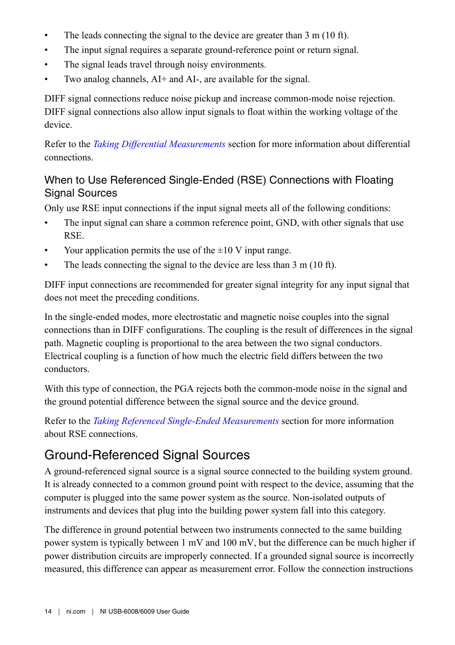- The leads connecting the signal to the device are greater than  $3 \text{ m} (10 \text{ ft})$ .
- The input signal requires a separate ground-reference point or return signal.
- The signal leads travel through noisy environments.
- Two analog channels, AI+ and AI-, are available for the signal.

DIFF signal connections reduce noise pickup and increase common-mode noise rejection. DIFF signal connections also allow input signals to float within the working voltage of the device.

Refer to the *[Taking Differential Measurements](#page-14-0)* section for more information about differential connections.

#### When to Use Referenced Single-Ended (RSE) Connections with Floating Signal Sources

Only use RSE input connections if the input signal meets all of the following conditions:

- The input signal can share a common reference point, GND, with other signals that use RSE.
- Your application permits the use of the  $\pm 10$  V input range.
- The leads connecting the signal to the device are less than 3 m (10 ft).

DIFF input connections are recommended for greater signal integrity for any input signal that does not meet the preceding conditions.

In the single-ended modes, more electrostatic and magnetic noise couples into the signal connections than in DIFF configurations. The coupling is the result of differences in the signal path. Magnetic coupling is proportional to the area between the two signal conductors. Electrical coupling is a function of how much the electric field differs between the two conductors.

With this type of connection, the PGA rejects both the common-mode noise in the signal and the ground potential difference between the signal source and the device ground.

Refer to the *[Taking Referenced Single-Ended Measurements](#page-15-0)* section for more information about RSE connections.

#### Ground-Referenced Signal Sources

A ground-referenced signal source is a signal source connected to the building system ground. It is already connected to a common ground point with respect to the device, assuming that the computer is plugged into the same power system as the source. Non-isolated outputs of instruments and devices that plug into the building power system fall into this category.

The difference in ground potential between two instruments connected to the same building power system is typically between 1 mV and 100 mV, but the difference can be much higher if power distribution circuits are improperly connected. If a grounded signal source is incorrectly measured, this difference can appear as measurement error. Follow the connection instructions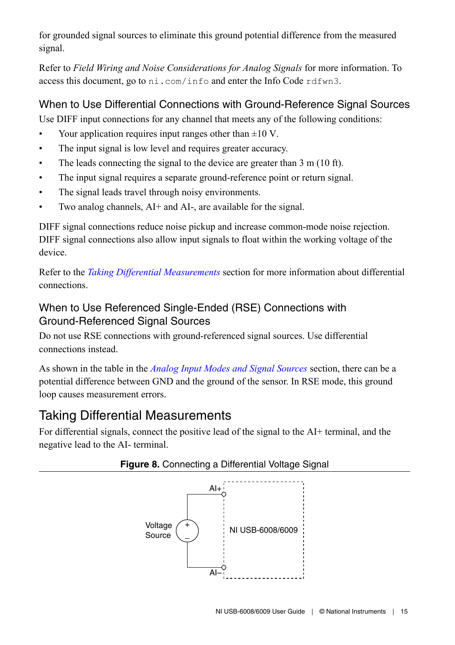<span id="page-14-0"></span>for grounded signal sources to eliminate this ground potential difference from the measured signal.

Refer to *Field Wiring and Noise Considerations for Analog Signals* for more information. To access this document, go to ni.com/info and enter the Info Code rdfwn3.

#### When to Use Differential Connections with Ground-Reference Signal Sources

Use DIFF input connections for any channel that meets any of the following conditions:

- Your application requires input ranges other than  $\pm 10$  V.
- The input signal is low level and requires greater accuracy.
- The leads connecting the signal to the device are greater than 3 m (10 ft).
- The input signal requires a separate ground-reference point or return signal.
- The signal leads travel through noisy environments.
- Two analog channels, AI+ and AI-, are available for the signal.

DIFF signal connections reduce noise pickup and increase common-mode noise rejection. DIFF signal connections also allow input signals to float within the working voltage of the device.

Refer to the *Taking Differential Measurements* section for more information about differential connections.

#### When to Use Referenced Single-Ended (RSE) Connections with Ground-Referenced Signal Sources

Do not use RSE connections with ground-referenced signal sources. Use differential connections instead.

As shown in the table in the *[Analog Input Modes and Signal Sources](#page-11-0)* section, there can be a potential difference between GND and the ground of the sensor. In RSE mode, this ground loop causes measurement errors.

#### Taking Differential Measurements

For differential signals, connect the positive lead of the signal to the AI+ terminal, and the negative lead to the AI- terminal.



#### **Figure 8.** Connecting a Differential Voltage Signal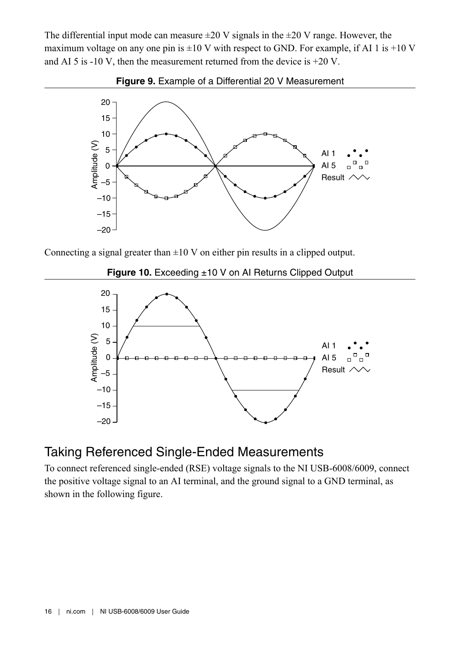<span id="page-15-0"></span>The differential input mode can measure  $\pm 20$  V signals in the  $\pm 20$  V range. However, the maximum voltage on any one pin is  $\pm 10$  V with respect to GND. For example, if AI 1 is  $+10$  V and AI 5 is -10 V, then the measurement returned from the device is  $+20$  V.





Connecting a signal greater than  $\pm 10$  V on either pin results in a clipped output.

**Figure 10.** Exceeding ±10 V on AI Returns Clipped Output



#### Taking Referenced Single-Ended Measurements

To connect referenced single-ended (RSE) voltage signals to the NI USB-6008/6009, connect the positive voltage signal to an AI terminal, and the ground signal to a GND terminal, as shown in the following figure.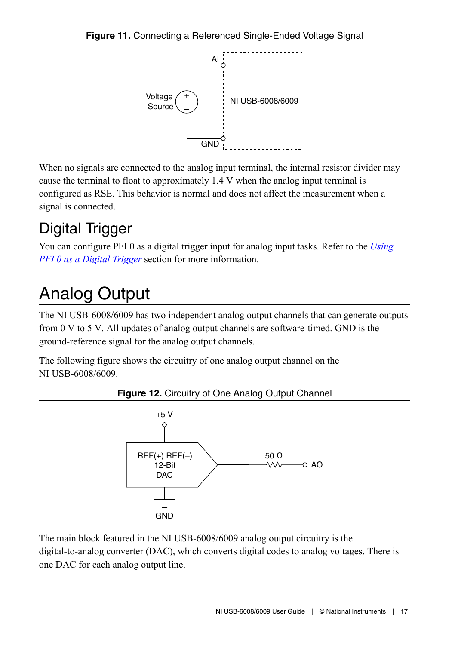<span id="page-16-0"></span>

When no signals are connected to the analog input terminal, the internal resistor divider may cause the terminal to float to approximately 1.4 V when the analog input terminal is configured as RSE. This behavior is normal and does not affect the measurement when a signal is connected.

# Digital Trigger

You can configure PFI 0 as a digital trigger input for analog input tasks. Refer to the *[Using](#page-20-0) [PFI 0 as a Digital Trigger](#page-20-0)* section for more information.

# Analog Output

The NI USB-6008/6009 has two independent analog output channels that can generate outputs from 0 V to 5 V. All updates of analog output channels are software-timed. GND is the ground-reference signal for the analog output channels.

The following figure shows the circuitry of one analog output channel on the NI USB-6008/6009.



**Figure 12.** Circuitry of One Analog Output Channel

The main block featured in the NI USB-6008/6009 analog output circuitry is the digital-to-analog converter (DAC), which converts digital codes to analog voltages. There is one DAC for each analog output line.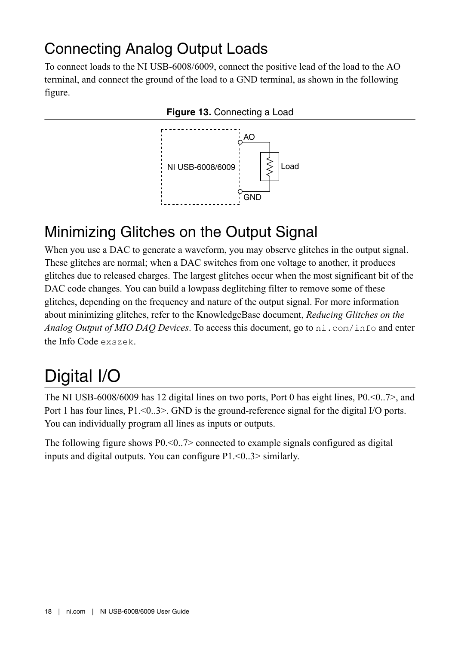## <span id="page-17-0"></span>Connecting Analog Output Loads

To connect loads to the NI USB-6008/6009, connect the positive lead of the load to the AO terminal, and connect the ground of the load to a GND terminal, as shown in the following figure.





## Minimizing Glitches on the Output Signal

When you use a DAC to generate a waveform, you may observe glitches in the output signal. These glitches are normal; when a DAC switches from one voltage to another, it produces glitches due to released charges. The largest glitches occur when the most significant bit of the DAC code changes. You can build a lowpass deglitching filter to remove some of these glitches, depending on the frequency and nature of the output signal. For more information about minimizing glitches, refer to the KnowledgeBase document, *Reducing Glitches on the Analog Output of MIO DAQ Devices*. To access this document, go to ni.com/info and enter the Info Code exszek.

# Digital I/O

The NI USB-6008/6009 has 12 digital lines on two ports, Port 0 has eight lines, P0.<0..7>, and Port 1 has four lines, P1.<0..3>. GND is the ground-reference signal for the digital I/O ports. You can individually program all lines as inputs or outputs.

The following figure shows  $P0 \leq 0.7$  connected to example signals configured as digital inputs and digital outputs. You can configure P1.<0..3> similarly.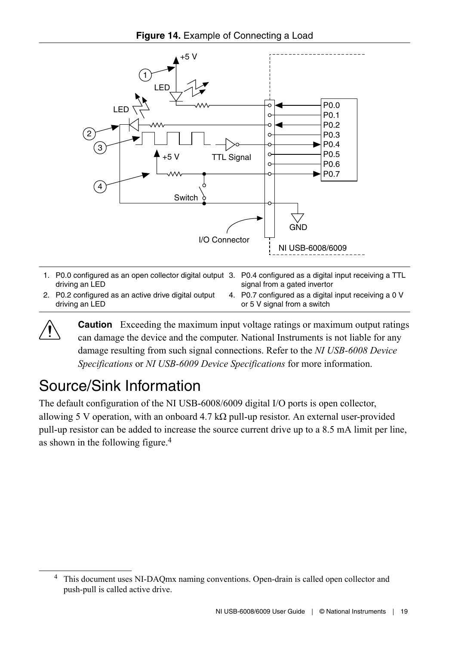

- 1. P0.0 configured as an open collector digital output 3. P0.4 configured as a digital input receiving a TTL driving an LED
- 2. P0.2 configured as an active drive digital output driving an LED

signal from a gated invertor 4. P0.7 configured as a digital input receiving a 0 V or 5 V signal from a switch

**Caution** Exceeding the maximum input voltage ratings or maximum output ratings can damage the device and the computer. National Instruments is not liable for any damage resulting from such signal connections. Refer to the *NI USB-6008 Device Specifications* or *NI USB-6009 Device Specifications* for more information.

## Source/Sink Information

The default configuration of the NI USB-6008/6009 digital I/O ports is open collector, allowing 5 V operation, with an onboard 4.7 kΩ pull-up resistor. An external user-provided pull-up resistor can be added to increase the source current drive up to a 8.5 mA limit per line, as shown in the following figure.<sup>4</sup>

<sup>4</sup> This document uses NI-DAQmx naming conventions. Open-drain is called open collector and push-pull is called active drive.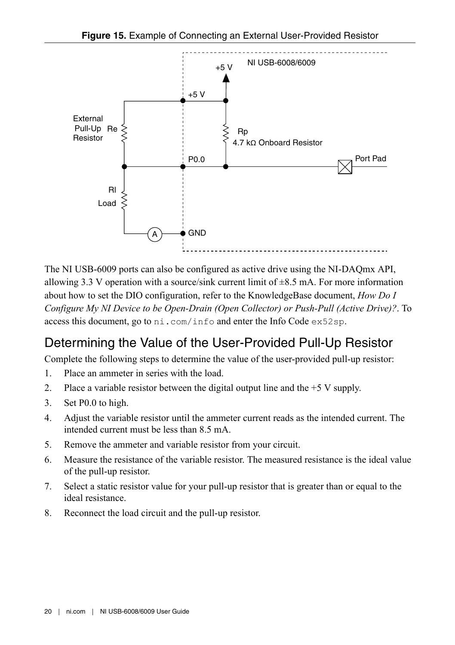

The NI USB-6009 ports can also be configured as active drive using the NI-DAQmx API, allowing 3.3 V operation with a source/sink current limit of  $\pm 8.5$  mA. For more information about how to set the DIO configuration, refer to the KnowledgeBase document, *How Do I Configure My NI Device to be Open-Drain (Open Collector) or Push-Pull (Active Drive)?*. To access this document, go to ni.com/info and enter the Info Code ex52sp.

#### Determining the Value of the User-Provided Pull-Up Resistor

Complete the following steps to determine the value of the user-provided pull-up resistor:

- 1. Place an ammeter in series with the load.
- 2. Place a variable resistor between the digital output line and the +5 V supply.
- 3. Set P0.0 to high.
- 4. Adjust the variable resistor until the ammeter current reads as the intended current. The intended current must be less than 8.5 mA.
- 5. Remove the ammeter and variable resistor from your circuit.
- 6. Measure the resistance of the variable resistor. The measured resistance is the ideal value of the pull-up resistor.
- 7. Select a static resistor value for your pull-up resistor that is greater than or equal to the ideal resistance.
- 8. Reconnect the load circuit and the pull-up resistor.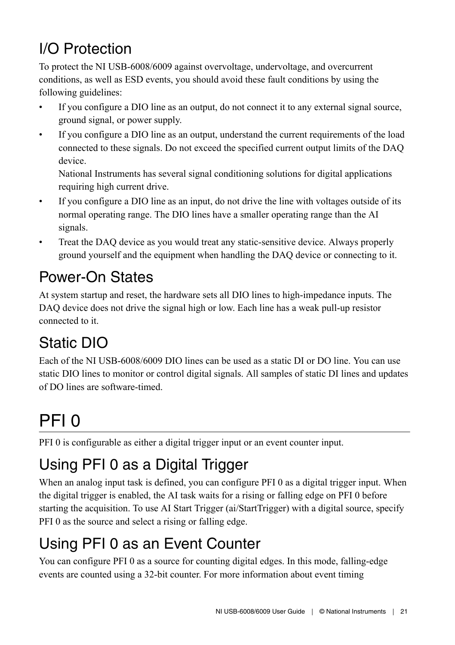# <span id="page-20-0"></span>I/O Protection

To protect the NI USB-6008/6009 against overvoltage, undervoltage, and overcurrent conditions, as well as ESD events, you should avoid these fault conditions by using the following guidelines:

- If you configure a DIO line as an output, do not connect it to any external signal source, ground signal, or power supply.
- If you configure a DIO line as an output, understand the current requirements of the load connected to these signals. Do not exceed the specified current output limits of the DAQ device.

National Instruments has several signal conditioning solutions for digital applications requiring high current drive.

- If you configure a DIO line as an input, do not drive the line with voltages outside of its normal operating range. The DIO lines have a smaller operating range than the AI signals.
- Treat the DAQ device as you would treat any static-sensitive device. Always properly ground yourself and the equipment when handling the DAQ device or connecting to it.

## Power-On States

At system startup and reset, the hardware sets all DIO lines to high-impedance inputs. The DAQ device does not drive the signal high or low. Each line has a weak pull-up resistor connected to it.

## Static DIO

Each of the NI USB-6008/6009 DIO lines can be used as a static DI or DO line. You can use static DIO lines to monitor or control digital signals. All samples of static DI lines and updates of DO lines are software-timed.

# PFI 0

PFI 0 is configurable as either a digital trigger input or an event counter input.

# Using PFI 0 as a Digital Trigger

When an analog input task is defined, you can configure PFI 0 as a digital trigger input. When the digital trigger is enabled, the AI task waits for a rising or falling edge on PFI 0 before starting the acquisition. To use AI Start Trigger (ai/StartTrigger) with a digital source, specify PFI 0 as the source and select a rising or falling edge.

# Using PFI 0 as an Event Counter

You can configure PFI 0 as a source for counting digital edges. In this mode, falling-edge events are counted using a 32-bit counter. For more information about event timing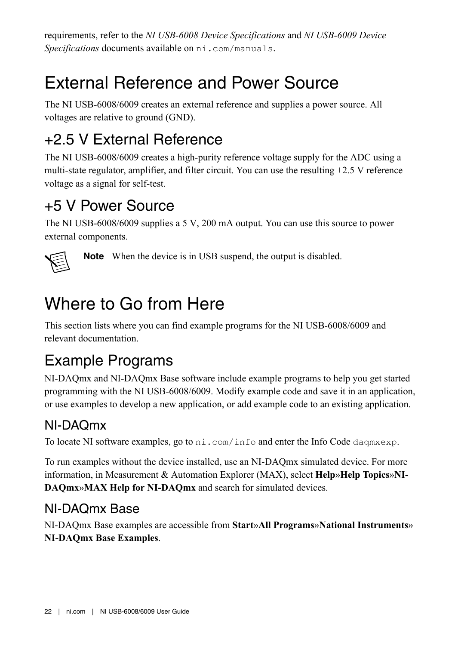<span id="page-21-0"></span>requirements, refer to the *NI USB-6008 Device Specifications* and *NI USB-6009 Device Specifications* documents available on ni.com/manuals.

# External Reference and Power Source

The NI USB-6008/6009 creates an external reference and supplies a power source. All voltages are relative to ground (GND).

## +2.5 V External Reference

The NI USB-6008/6009 creates a high-purity reference voltage supply for the ADC using a multi-state regulator, amplifier, and filter circuit. You can use the resulting +2.5 V reference voltage as a signal for self-test.

## +5 V Power Source

The NI USB-6008/6009 supplies a 5 V, 200 mA output. You can use this source to power external components.



**Note** When the device is in USB suspend, the output is disabled.

# Where to Go from Here

This section lists where you can find example programs for the NI USB-6008/6009 and relevant documentation.

## Example Programs

NI-DAQmx and NI-DAQmx Base software include example programs to help you get started programming with the NI USB-6008/6009. Modify example code and save it in an application, or use examples to develop a new application, or add example code to an existing application.

### NI-DAQmx

To locate NI software examples, go to ni.com/info and enter the Info Code daqmxexp.

To run examples without the device installed, use an NI-DAQmx simulated device. For more information, in Measurement & Automation Explorer (MAX), select **Help**»**Help Topics**»**NI-DAQmx**»**MAX Help for NI-DAQmx** and search for simulated devices.

### NI-DAQmx Base

NI-DAQmx Base examples are accessible from **Start**»**All Programs**»**National Instruments**» **NI-DAQmx Base Examples**.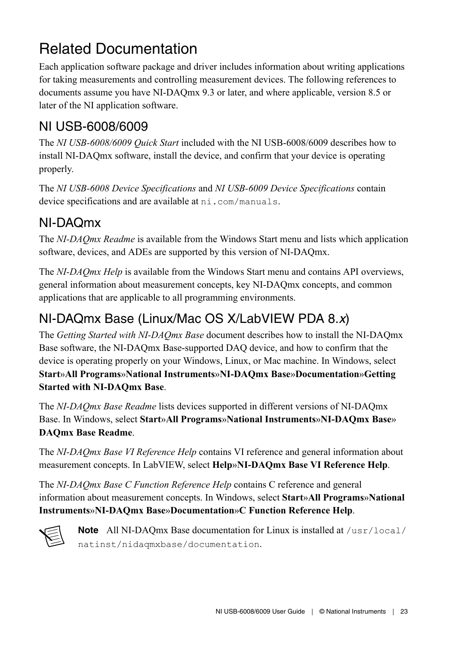## Related Documentation

Each application software package and driver includes information about writing applications for taking measurements and controlling measurement devices. The following references to documents assume you have NI-DAQmx 9.3 or later, and where applicable, version 8.5 or later of the NI application software.

#### NI USB-6008/6009

The *NI USB-6008/6009 Quick Start* included with the NI USB-6008/6009 describes how to install NI-DAQmx software, install the device, and confirm that your device is operating properly.

The *NI USB-6008 Device Specifications* and *NI USB-6009 Device Specifications* contain device specifications and are available at  $ni$ .com/manuals.

#### NI-DAQmx

The *NI-DAQmx Readme* is available from the Windows Start menu and lists which application software, devices, and ADEs are supported by this version of NI-DAQmx.

The *NI-DAQmx Help* is available from the Windows Start menu and contains API overviews, general information about measurement concepts, key NI-DAQmx concepts, and common applications that are applicable to all programming environments.

### NI-DAQmx Base (Linux/Mac OS X/LabVIEW PDA 8.*x*)

The *Getting Started with NI-DAQmx Base* document describes how to install the NI-DAQmx Base software, the NI-DAQmx Base-supported DAQ device, and how to confirm that the device is operating properly on your Windows, Linux, or Mac machine. In Windows, select **Start**»**All Programs**»**National Instruments**»**NI-DAQmx Base**»**Documentation**»**Getting Started with NI-DAQmx Base**.

The *NI-DAQmx Base Readme* lists devices supported in different versions of NI-DAQmx Base. In Windows, select **Start**»**All Programs**»**National Instruments**»**NI-DAQmx Base**» **DAQmx Base Readme**.

The *NI-DAQmx Base VI Reference Help* contains VI reference and general information about measurement concepts. In LabVIEW, select **Help**»**NI-DAQmx Base VI Reference Help**.

The *NI-DAQmx Base C Function Reference Help* contains C reference and general information about measurement concepts. In Windows, select **Start**»**All Programs**»**National Instruments**»**NI-DAQmx Base**»**Documentation**»**C Function Reference Help**.



**Note** All NI-DAQmx Base documentation for Linux is installed at /usr/local/ natinst/nidaqmxbase/documentation.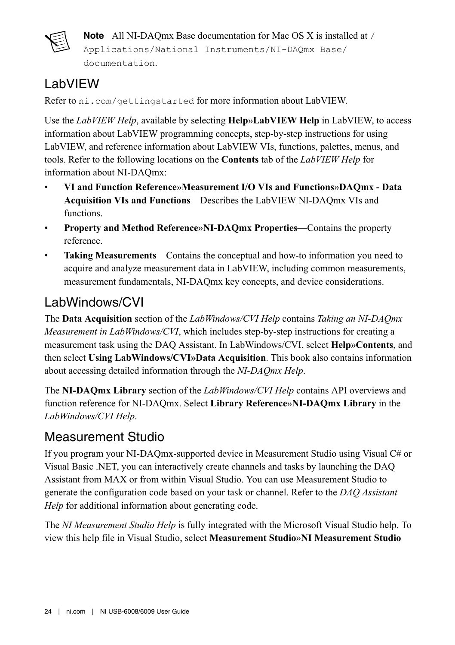

**Note** All NI-DAQmx Base documentation for Mac OS X is installed at /

Applications/National Instruments/NI-DAQmx Base/ documentation.

### LabVIEW

Refer to ni.com/gettingstarted for more information about LabVIEW.

Use the *LabVIEW Help*, available by selecting **Help**»**LabVIEW Help** in LabVIEW, to access information about LabVIEW programming concepts, step-by-step instructions for using LabVIEW, and reference information about LabVIEW VIs, functions, palettes, menus, and tools. Refer to the following locations on the **Contents** tab of the *LabVIEW Help* for information about NI-DAQmx:

- **VI and Function Reference**»**Measurement I/O VIs and Functions**»**DAQmx Data Acquisition VIs and Functions**—Describes the LabVIEW NI-DAQmx VIs and functions.
- **Property and Method Reference**»**NI-DAQmx Properties**—Contains the property reference.
- **Taking Measurements**—Contains the conceptual and how-to information you need to acquire and analyze measurement data in LabVIEW, including common measurements, measurement fundamentals, NI-DAQmx key concepts, and device considerations.

### LabWindows/CVI

The **Data Acquisition** section of the *LabWindows/CVI Help* contains *Taking an NI-DAQmx Measurement in LabWindows/CVI*, which includes step-by-step instructions for creating a measurement task using the DAQ Assistant. In LabWindows/CVI, select **Help**»**Contents**, and then select **Using LabWindows/CVI»Data Acquisition**. This book also contains information about accessing detailed information through the *NI-DAQmx Help*.

The **NI-DAQmx Library** section of the *LabWindows/CVI Help* contains API overviews and function reference for NI-DAQmx. Select **Library Reference**»**NI-DAQmx Library** in the *LabWindows/CVI Help*.

#### Measurement Studio

If you program your NI-DAQmx-supported device in Measurement Studio using Visual C# or Visual Basic .NET, you can interactively create channels and tasks by launching the DAQ Assistant from MAX or from within Visual Studio. You can use Measurement Studio to generate the configuration code based on your task or channel. Refer to the *DAQ Assistant Help* for additional information about generating code.

The *NI Measurement Studio Help* is fully integrated with the Microsoft Visual Studio help. To view this help file in Visual Studio, select **Measurement Studio**»**NI Measurement Studio**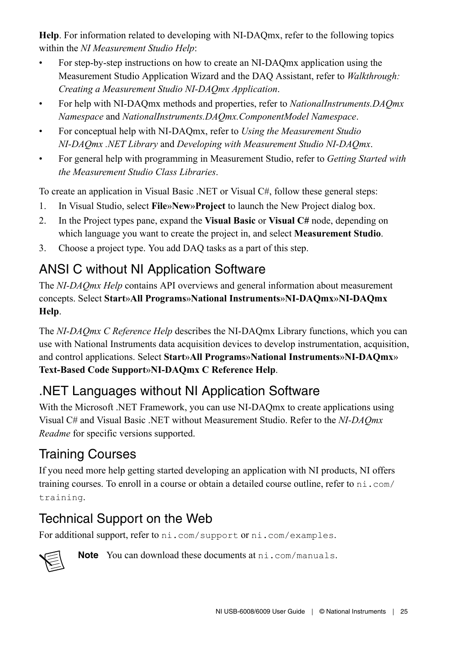**Help**. For information related to developing with NI-DAQmx, refer to the following topics within the *NI Measurement Studio Help*:

- For step-by-step instructions on how to create an NI-DAQmx application using the Measurement Studio Application Wizard and the DAQ Assistant, refer to *Walkthrough: Creating a Measurement Studio NI-DAQmx Application*.
- For help with NI-DAQmx methods and properties, refer to *NationalInstruments.DAQmx Namespace* and *NationalInstruments.DAQmx.ComponentModel Namespace*.
- For conceptual help with NI-DAQmx, refer to *Using the Measurement Studio NI-DAQmx .NET Library* and *Developing with Measurement Studio NI-DAQmx*.
- For general help with programming in Measurement Studio, refer to *Getting Started with the Measurement Studio Class Libraries*.

To create an application in Visual Basic .NET or Visual C#, follow these general steps:

- 1. In Visual Studio, select **File**»**New**»**Project** to launch the New Project dialog box.
- 2. In the Project types pane, expand the **Visual Basic** or **Visual C#** node, depending on which language you want to create the project in, and select **Measurement Studio**.
- 3. Choose a project type. You add DAQ tasks as a part of this step.

### ANSI C without NI Application Software

The *NI-DAQmx Help* contains API overviews and general information about measurement concepts. Select **Start**»**All Programs**»**National Instruments**»**NI-DAQmx**»**NI-DAQmx Help**.

The *NI-DAQmx C Reference Help* describes the NI-DAQmx Library functions, which you can use with National Instruments data acquisition devices to develop instrumentation, acquisition, and control applications. Select **Start**»**All Programs**»**National Instruments**»**NI-DAQmx**» **Text-Based Code Support**»**NI-DAQmx C Reference Help**.

#### .NET Languages without NI Application Software

With the Microsoft .NET Framework, you can use NI-DAQmx to create applications using Visual C# and Visual Basic .NET without Measurement Studio. Refer to the *NI-DAQmx Readme* for specific versions supported.

### Training Courses

If you need more help getting started developing an application with NI products, NI offers training courses. To enroll in a course or obtain a detailed course outline, refer to ni.com/ training.

### Technical Support on the Web

For additional support, refer to ni.com/support or ni.com/examples.



**Note** You can download these documents at ni.com/manuals.